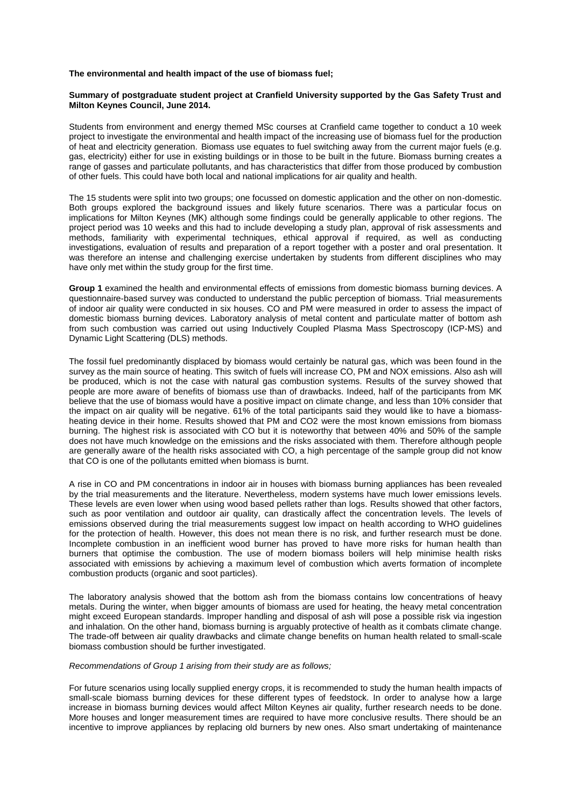### **The environmental and health impact of the use of biomass fuel;**

### **Summary of postgraduate student project at Cranfield University supported by the Gas Safety Trust and Milton Keynes Council, June 2014.**

Students from environment and energy themed MSc courses at Cranfield came together to conduct a 10 week project to investigate the environmental and health impact of the increasing use of biomass fuel for the production of heat and electricity generation. Biomass use equates to fuel switching away from the current major fuels (e.g. gas, electricity) either for use in existing buildings or in those to be built in the future. Biomass burning creates a range of gasses and particulate pollutants, and has characteristics that differ from those produced by combustion of other fuels. This could have both local and national implications for air quality and health.

The 15 students were split into two groups; one focussed on domestic application and the other on non-domestic. Both groups explored the background issues and likely future scenarios. There was a particular focus on implications for Milton Keynes (MK) although some findings could be generally applicable to other regions. The project period was 10 weeks and this had to include developing a study plan, approval of risk assessments and methods, familiarity with experimental techniques, ethical approval if required, as well as conducting investigations, evaluation of results and preparation of a report together with a poster and oral presentation. It was therefore an intense and challenging exercise undertaken by students from different disciplines who may have only met within the study group for the first time.

**Group 1** examined the health and environmental effects of emissions from domestic biomass burning devices. A questionnaire-based survey was conducted to understand the public perception of biomass. Trial measurements of indoor air quality were conducted in six houses. CO and PM were measured in order to assess the impact of domestic biomass burning devices. Laboratory analysis of metal content and particulate matter of bottom ash from such combustion was carried out using Inductively Coupled Plasma Mass Spectroscopy (ICP-MS) and Dynamic Light Scattering (DLS) methods.

The fossil fuel predominantly displaced by biomass would certainly be natural gas, which was been found in the survey as the main source of heating. This switch of fuels will increase CO, PM and NOX emissions. Also ash will be produced, which is not the case with natural gas combustion systems. Results of the survey showed that people are more aware of benefits of biomass use than of drawbacks. Indeed, half of the participants from MK believe that the use of biomass would have a positive impact on climate change, and less than 10% consider that the impact on air quality will be negative. 61% of the total participants said they would like to have a biomassheating device in their home. Results showed that PM and CO2 were the most known emissions from biomass burning. The highest risk is associated with CO but it is noteworthy that between 40% and 50% of the sample does not have much knowledge on the emissions and the risks associated with them. Therefore although people are generally aware of the health risks associated with CO, a high percentage of the sample group did not know that CO is one of the pollutants emitted when biomass is burnt.

A rise in CO and PM concentrations in indoor air in houses with biomass burning appliances has been revealed by the trial measurements and the literature. Nevertheless, modern systems have much lower emissions levels. These levels are even lower when using wood based pellets rather than logs. Results showed that other factors, such as poor ventilation and outdoor air quality, can drastically affect the concentration levels. The levels of emissions observed during the trial measurements suggest low impact on health according to WHO guidelines for the protection of health. However, this does not mean there is no risk, and further research must be done. Incomplete combustion in an inefficient wood burner has proved to have more risks for human health than burners that optimise the combustion. The use of modern biomass boilers will help minimise health risks associated with emissions by achieving a maximum level of combustion which averts formation of incomplete combustion products (organic and soot particles).

The laboratory analysis showed that the bottom ash from the biomass contains low concentrations of heavy metals. During the winter, when bigger amounts of biomass are used for heating, the heavy metal concentration might exceed European standards. Improper handling and disposal of ash will pose a possible risk via ingestion and inhalation. On the other hand, biomass burning is arguably protective of health as it combats climate change. The trade-off between air quality drawbacks and climate change benefits on human health related to small-scale biomass combustion should be further investigated.

#### *Recommendations of Group 1 arising from their study are as follows;*

For future scenarios using locally supplied energy crops, it is recommended to study the human health impacts of small-scale biomass burning devices for these different types of feedstock. In order to analyse how a large increase in biomass burning devices would affect Milton Keynes air quality, further research needs to be done. More houses and longer measurement times are required to have more conclusive results. There should be an incentive to improve appliances by replacing old burners by new ones. Also smart undertaking of maintenance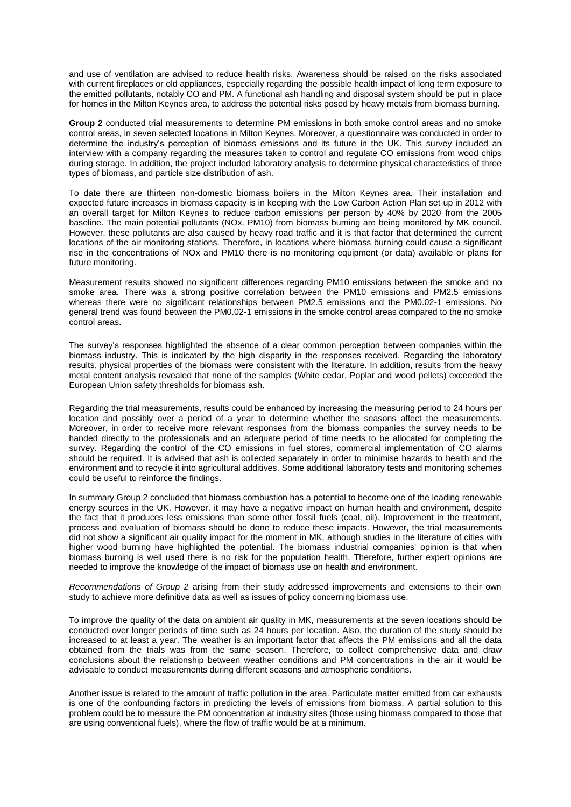and use of ventilation are advised to reduce health risks. Awareness should be raised on the risks associated with current fireplaces or old appliances, especially regarding the possible health impact of long term exposure to the emitted pollutants, notably CO and PM. A functional ash handling and disposal system should be put in place for homes in the Milton Keynes area, to address the potential risks posed by heavy metals from biomass burning.

**Group 2** conducted trial measurements to determine PM emissions in both smoke control areas and no smoke control areas, in seven selected locations in Milton Keynes. Moreover, a questionnaire was conducted in order to determine the industry's perception of biomass emissions and its future in the UK. This survey included an interview with a company regarding the measures taken to control and regulate CO emissions from wood chips during storage. In addition, the project included laboratory analysis to determine physical characteristics of three types of biomass, and particle size distribution of ash.

To date there are thirteen non-domestic biomass boilers in the Milton Keynes area. Their installation and expected future increases in biomass capacity is in keeping with the Low Carbon Action Plan set up in 2012 with an overall target for Milton Keynes to reduce carbon emissions per person by 40% by 2020 from the 2005 baseline. The main potential pollutants (NOx, PM10) from biomass burning are being monitored by MK council. However, these pollutants are also caused by heavy road traffic and it is that factor that determined the current locations of the air monitoring stations. Therefore, in locations where biomass burning could cause a significant rise in the concentrations of NOx and PM10 there is no monitoring equipment (or data) available or plans for future monitoring.

Measurement results showed no significant differences regarding PM10 emissions between the smoke and no smoke area. There was a strong positive correlation between the PM10 emissions and PM2.5 emissions whereas there were no significant relationships between PM2.5 emissions and the PM0.02-1 emissions. No general trend was found between the PM0.02-1 emissions in the smoke control areas compared to the no smoke control areas.

The survey's responses highlighted the absence of a clear common perception between companies within the biomass industry. This is indicated by the high disparity in the responses received. Regarding the laboratory results, physical properties of the biomass were consistent with the literature. In addition, results from the heavy metal content analysis revealed that none of the samples (White cedar, Poplar and wood pellets) exceeded the European Union safety thresholds for biomass ash.

Regarding the trial measurements, results could be enhanced by increasing the measuring period to 24 hours per location and possibly over a period of a year to determine whether the seasons affect the measurements. Moreover, in order to receive more relevant responses from the biomass companies the survey needs to be handed directly to the professionals and an adequate period of time needs to be allocated for completing the survey. Regarding the control of the CO emissions in fuel stores, commercial implementation of CO alarms should be required. It is advised that ash is collected separately in order to minimise hazards to health and the environment and to recycle it into agricultural additives. Some additional laboratory tests and monitoring schemes could be useful to reinforce the findings.

In summary Group 2 concluded that biomass combustion has a potential to become one of the leading renewable energy sources in the UK. However, it may have a negative impact on human health and environment, despite the fact that it produces less emissions than some other fossil fuels (coal, oil). Improvement in the treatment, process and evaluation of biomass should be done to reduce these impacts. However, the trial measurements did not show a significant air quality impact for the moment in MK, although studies in the literature of cities with higher wood burning have highlighted the potential. The biomass industrial companies' opinion is that when biomass burning is well used there is no risk for the population health. Therefore, further expert opinions are needed to improve the knowledge of the impact of biomass use on health and environment.

*Recommendations of Group 2* arising from their study addressed improvements and extensions to their own study to achieve more definitive data as well as issues of policy concerning biomass use.

To improve the quality of the data on ambient air quality in MK, measurements at the seven locations should be conducted over longer periods of time such as 24 hours per location. Also, the duration of the study should be increased to at least a year. The weather is an important factor that affects the PM emissions and all the data obtained from the trials was from the same season. Therefore, to collect comprehensive data and draw conclusions about the relationship between weather conditions and PM concentrations in the air it would be advisable to conduct measurements during different seasons and atmospheric conditions.

Another issue is related to the amount of traffic pollution in the area. Particulate matter emitted from car exhausts is one of the confounding factors in predicting the levels of emissions from biomass. A partial solution to this problem could be to measure the PM concentration at industry sites (those using biomass compared to those that are using conventional fuels), where the flow of traffic would be at a minimum.